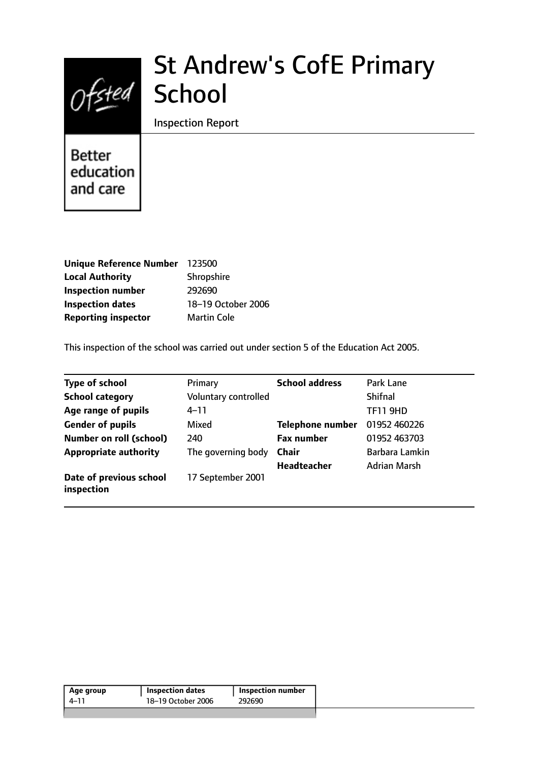

# St Andrew's CofE Primary

Inspection Report

**Better** education and care

| <b>Unique Reference Number</b> | 123500             |
|--------------------------------|--------------------|
| <b>Local Authority</b>         | Shropshire         |
| <b>Inspection number</b>       | 292690             |
| <b>Inspection dates</b>        | 18-19 October 2006 |
| <b>Reporting inspector</b>     | <b>Martin Cole</b> |

This inspection of the school was carried out under section 5 of the Education Act 2005.

| <b>Type of school</b>                 | Primary              | <b>School address</b>   | Park Lane       |
|---------------------------------------|----------------------|-------------------------|-----------------|
| <b>School category</b>                | Voluntary controlled |                         | <b>Shifnal</b>  |
| Age range of pupils                   | 4–11                 |                         | <b>TF11 9HD</b> |
| <b>Gender of pupils</b>               | Mixed                | <b>Telephone number</b> | 01952 460226    |
| <b>Number on roll (school)</b>        | 240                  | <b>Fax number</b>       | 01952 463703    |
| <b>Appropriate authority</b>          | The governing body   | <b>Chair</b>            | Barbara Lamkin  |
|                                       |                      | <b>Headteacher</b>      | Adrian Marsh    |
| Date of previous school<br>inspection | 17 September 2001    |                         |                 |

| 18-19 October 2006<br>292690<br>4–11 | Age group | <b>Inspection dates</b> | <b>Inspection number</b> |
|--------------------------------------|-----------|-------------------------|--------------------------|
|                                      |           |                         |                          |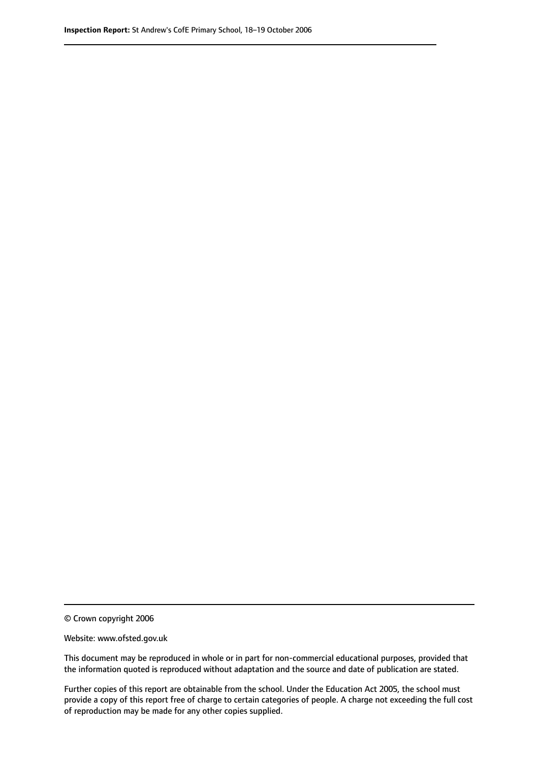© Crown copyright 2006

Website: www.ofsted.gov.uk

This document may be reproduced in whole or in part for non-commercial educational purposes, provided that the information quoted is reproduced without adaptation and the source and date of publication are stated.

Further copies of this report are obtainable from the school. Under the Education Act 2005, the school must provide a copy of this report free of charge to certain categories of people. A charge not exceeding the full cost of reproduction may be made for any other copies supplied.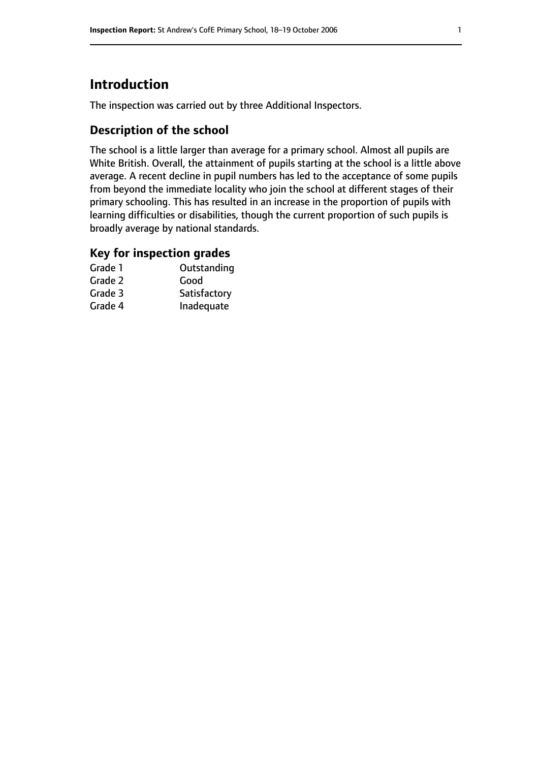# **Introduction**

The inspection was carried out by three Additional Inspectors.

## **Description of the school**

The school is a little larger than average for a primary school. Almost all pupils are White British. Overall, the attainment of pupils starting at the school is a little above average. A recent decline in pupil numbers has led to the acceptance of some pupils from beyond the immediate locality who join the school at different stages of their primary schooling. This has resulted in an increase in the proportion of pupils with learning difficulties or disabilities, though the current proportion of such pupils is broadly average by national standards.

## **Key for inspection grades**

| Grade 1 | Outstanding  |
|---------|--------------|
| Grade 2 | Good         |
| Grade 3 | Satisfactory |
| Grade 4 | Inadequate   |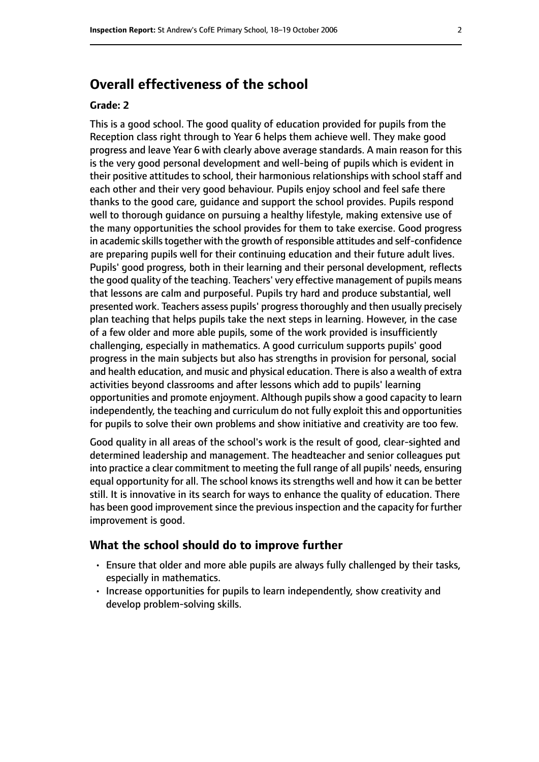# **Overall effectiveness of the school**

#### **Grade: 2**

This is a good school. The good quality of education provided for pupils from the Reception class right through to Year 6 helps them achieve well. They make good progress and leave Year 6 with clearly above average standards. A main reason for this is the very good personal development and well-being of pupils which is evident in their positive attitudes to school, their harmonious relationships with school staff and each other and their very good behaviour. Pupils enjoy school and feel safe there thanks to the good care, guidance and support the school provides. Pupils respond well to thorough guidance on pursuing a healthy lifestyle, making extensive use of the many opportunities the school provides for them to take exercise. Good progress in academic skills together with the growth of responsible attitudes and self-confidence are preparing pupils well for their continuing education and their future adult lives. Pupils' good progress, both in their learning and their personal development, reflects the good quality of the teaching. Teachers' very effective management of pupils means that lessons are calm and purposeful. Pupils try hard and produce substantial, well presented work. Teachers assess pupils' progress thoroughly and then usually precisely plan teaching that helps pupils take the next steps in learning. However, in the case of a few older and more able pupils, some of the work provided is insufficiently challenging, especially in mathematics. A good curriculum supports pupils' good progress in the main subjects but also has strengths in provision for personal, social and health education, and music and physical education. There is also a wealth of extra activities beyond classrooms and after lessons which add to pupils' learning opportunities and promote enjoyment. Although pupils show a good capacity to learn independently, the teaching and curriculum do not fully exploit this and opportunities for pupils to solve their own problems and show initiative and creativity are too few.

Good quality in all areas of the school's work is the result of good, clear-sighted and determined leadership and management. The headteacher and senior colleagues put into practice a clear commitment to meeting the full range of all pupils' needs, ensuring equal opportunity for all. The school knows its strengths well and how it can be better still. It is innovative in its search for ways to enhance the quality of education. There has been good improvement since the previous inspection and the capacity for further improvement is good.

#### **What the school should do to improve further**

- Ensure that older and more able pupils are always fully challenged by their tasks, especially in mathematics.
- Increase opportunities for pupils to learn independently, show creativity and develop problem-solving skills.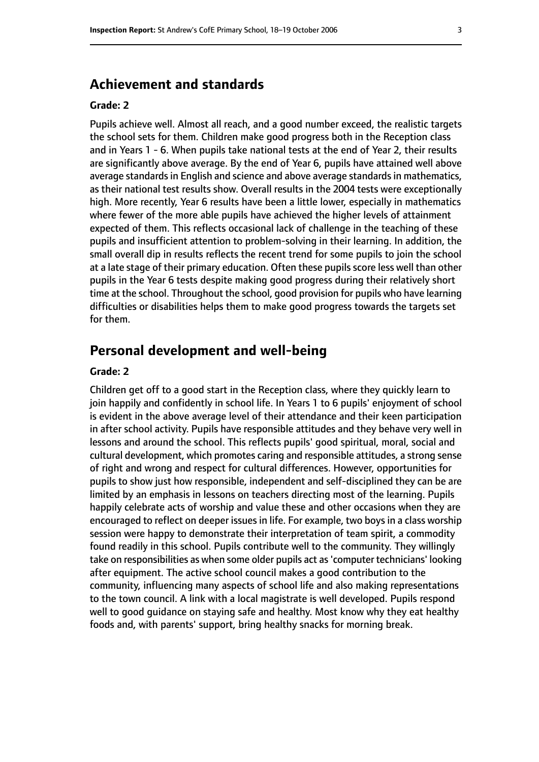## **Achievement and standards**

#### **Grade: 2**

Pupils achieve well. Almost all reach, and a good number exceed, the realistic targets the school sets for them. Children make good progress both in the Reception class and in Years 1 - 6. When pupils take national tests at the end of Year 2, their results are significantly above average. By the end of Year 6, pupils have attained well above average standards in English and science and above average standards in mathematics, as their national test results show. Overall results in the 2004 tests were exceptionally high. More recently, Year 6 results have been a little lower, especially in mathematics where fewer of the more able pupils have achieved the higher levels of attainment expected of them. This reflects occasional lack of challenge in the teaching of these pupils and insufficient attention to problem-solving in their learning. In addition, the small overall dip in results reflects the recent trend for some pupils to join the school at a late stage of their primary education. Often these pupils score less well than other pupils in the Year 6 tests despite making good progress during their relatively short time at the school. Throughout the school, good provision for pupils who have learning difficulties or disabilities helps them to make good progress towards the targets set for them.

### **Personal development and well-being**

#### **Grade: 2**

Children get off to a good start in the Reception class, where they quickly learn to join happily and confidently in school life. In Years 1 to 6 pupils' enjoyment of school is evident in the above average level of their attendance and their keen participation in after school activity. Pupils have responsible attitudes and they behave very well in lessons and around the school. This reflects pupils' good spiritual, moral, social and cultural development, which promotes caring and responsible attitudes, a strong sense of right and wrong and respect for cultural differences. However, opportunities for pupils to show just how responsible, independent and self-disciplined they can be are limited by an emphasis in lessons on teachers directing most of the learning. Pupils happily celebrate acts of worship and value these and other occasions when they are encouraged to reflect on deeper issues in life. For example, two boys in a class worship session were happy to demonstrate their interpretation of team spirit, a commodity found readily in this school. Pupils contribute well to the community. They willingly take on responsibilities as when some older pupils act as'computer technicians' looking after equipment. The active school council makes a good contribution to the community, influencing many aspects of school life and also making representations to the town council. A link with a local magistrate is well developed. Pupils respond well to good guidance on staying safe and healthy. Most know why they eat healthy foods and, with parents' support, bring healthy snacks for morning break.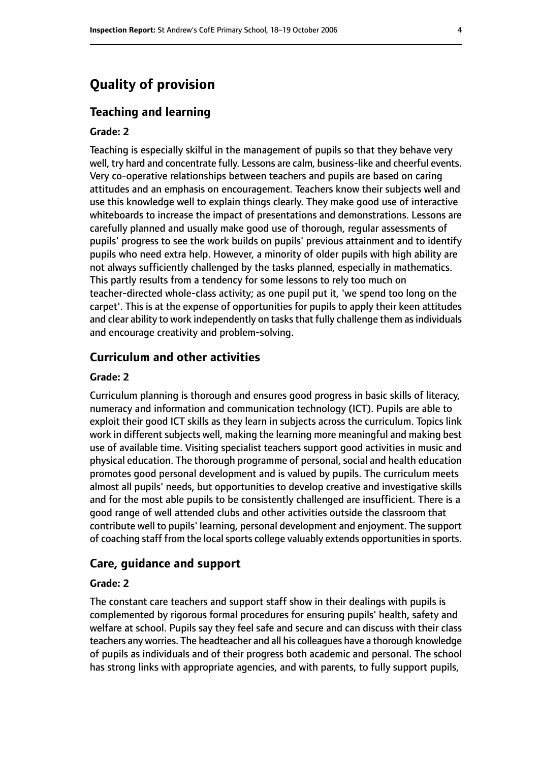# **Quality of provision**

#### **Teaching and learning**

#### **Grade: 2**

Teaching is especially skilful in the management of pupils so that they behave very well, try hard and concentrate fully. Lessons are calm, business-like and cheerful events. Very co-operative relationships between teachers and pupils are based on caring attitudes and an emphasis on encouragement. Teachers know their subjects well and use this knowledge well to explain things clearly. They make good use of interactive whiteboards to increase the impact of presentations and demonstrations. Lessons are carefully planned and usually make good use of thorough, regular assessments of pupils' progress to see the work builds on pupils' previous attainment and to identify pupils who need extra help. However, a minority of older pupils with high ability are not always sufficiently challenged by the tasks planned, especially in mathematics. This partly results from a tendency for some lessons to rely too much on teacher-directed whole-class activity; as one pupil put it, 'we spend too long on the carpet'. This is at the expense of opportunities for pupils to apply their keen attitudes and clear ability to work independently on tasks that fully challenge them as individuals and encourage creativity and problem-solving.

## **Curriculum and other activities**

#### **Grade: 2**

Curriculum planning is thorough and ensures good progress in basic skills of literacy, numeracy and information and communication technology (ICT). Pupils are able to exploit their good ICT skills as they learn in subjects across the curriculum. Topics link work in different subjects well, making the learning more meaningful and making best use of available time. Visiting specialist teachers support good activities in music and physical education. The thorough programme of personal, social and health education promotes good personal development and is valued by pupils. The curriculum meets almost all pupils' needs, but opportunities to develop creative and investigative skills and for the most able pupils to be consistently challenged are insufficient. There is a good range of well attended clubs and other activities outside the classroom that contribute well to pupils' learning, personal development and enjoyment. The support of coaching staff from the local sports college valuably extends opportunities in sports.

#### **Care, guidance and support**

#### **Grade: 2**

The constant care teachers and support staff show in their dealings with pupils is complemented by rigorous formal procedures for ensuring pupils' health, safety and welfare at school. Pupils say they feel safe and secure and can discuss with their class teachers any worries. The headteacher and all his colleagues have a thorough knowledge of pupils as individuals and of their progress both academic and personal. The school has strong links with appropriate agencies, and with parents, to fully support pupils,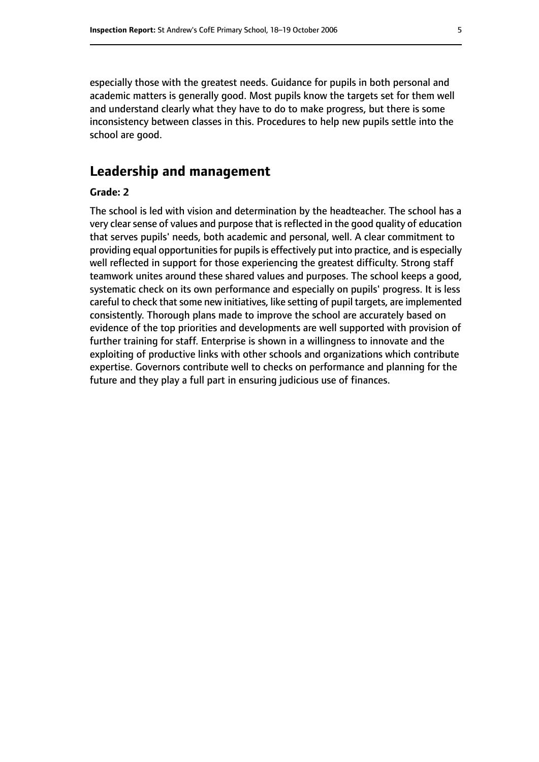especially those with the greatest needs. Guidance for pupils in both personal and academic matters is generally good. Most pupils know the targets set for them well and understand clearly what they have to do to make progress, but there is some inconsistency between classes in this. Procedures to help new pupils settle into the school are good.

## **Leadership and management**

#### **Grade: 2**

The school is led with vision and determination by the headteacher. The school has a very clear sense of values and purpose that is reflected in the good quality of education that serves pupils' needs, both academic and personal, well. A clear commitment to providing equal opportunities for pupils is effectively put into practice, and is especially well reflected in support for those experiencing the greatest difficulty. Strong staff teamwork unites around these shared values and purposes. The school keeps a good, systematic check on its own performance and especially on pupils' progress. It is less careful to check that some new initiatives, like setting of pupil targets, are implemented consistently. Thorough plans made to improve the school are accurately based on evidence of the top priorities and developments are well supported with provision of further training for staff. Enterprise is shown in a willingness to innovate and the exploiting of productive links with other schools and organizations which contribute expertise. Governors contribute well to checks on performance and planning for the future and they play a full part in ensuring judicious use of finances.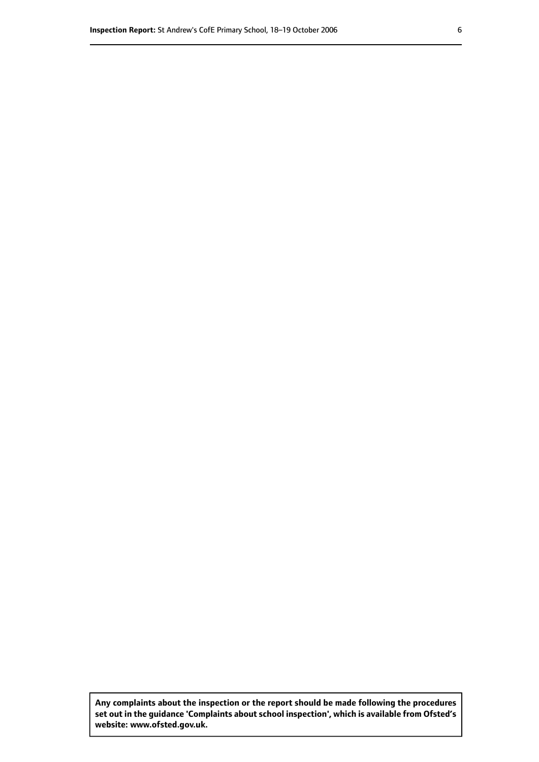**Any complaints about the inspection or the report should be made following the procedures set out inthe guidance 'Complaints about school inspection', whichis available from Ofsted's website: www.ofsted.gov.uk.**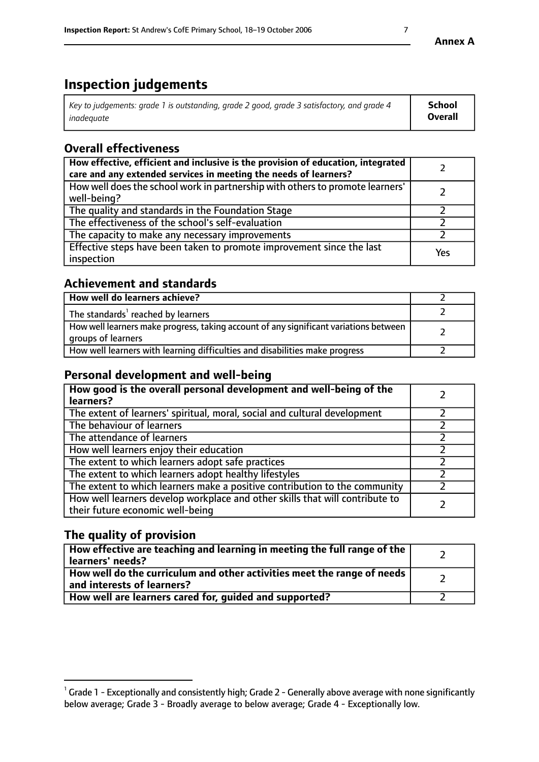# **Inspection judgements**

| Key to judgements: grade 1 is outstanding, grade 2 good, grade 3 satisfactory, and grade 4 | <b>School</b>  |
|--------------------------------------------------------------------------------------------|----------------|
| inadeauate                                                                                 | <b>Overall</b> |

# **Overall effectiveness**

| How effective, efficient and inclusive is the provision of education, integrated<br>care and any extended services in meeting the needs of learners? |     |
|------------------------------------------------------------------------------------------------------------------------------------------------------|-----|
| How well does the school work in partnership with others to promote learners'<br>well-being?                                                         |     |
| The quality and standards in the Foundation Stage                                                                                                    |     |
| The effectiveness of the school's self-evaluation                                                                                                    |     |
| The capacity to make any necessary improvements                                                                                                      |     |
| Effective steps have been taken to promote improvement since the last<br>inspection                                                                  | Yes |

## **Achievement and standards**

| How well do learners achieve?                                                                               |  |
|-------------------------------------------------------------------------------------------------------------|--|
| The standards <sup>1</sup> reached by learners                                                              |  |
| How well learners make progress, taking account of any significant variations between<br>groups of learners |  |
| How well learners with learning difficulties and disabilities make progress                                 |  |

# **Personal development and well-being**

| How good is the overall personal development and well-being of the<br>learners?                                  |  |
|------------------------------------------------------------------------------------------------------------------|--|
| The extent of learners' spiritual, moral, social and cultural development                                        |  |
| The behaviour of learners                                                                                        |  |
| The attendance of learners                                                                                       |  |
| How well learners enjoy their education                                                                          |  |
| The extent to which learners adopt safe practices                                                                |  |
| The extent to which learners adopt healthy lifestyles                                                            |  |
| The extent to which learners make a positive contribution to the community                                       |  |
| How well learners develop workplace and other skills that will contribute to<br>their future economic well-being |  |

# **The quality of provision**

| How effective are teaching and learning in meeting the full range of the<br>  learners' needs?                      |  |
|---------------------------------------------------------------------------------------------------------------------|--|
| $\mid$ How well do the curriculum and other activities meet the range of needs<br>$\mid$ and interests of learners? |  |
| How well are learners cared for, guided and supported?                                                              |  |

 $^1$  Grade 1 - Exceptionally and consistently high; Grade 2 - Generally above average with none significantly below average; Grade 3 - Broadly average to below average; Grade 4 - Exceptionally low.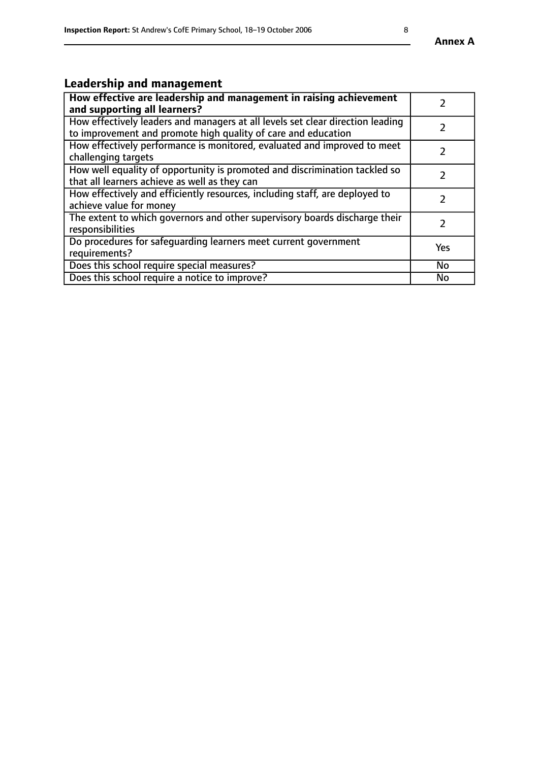# **Leadership and management**

| How effective are leadership and management in raising achievement<br>and supporting all learners?                                              |               |
|-------------------------------------------------------------------------------------------------------------------------------------------------|---------------|
| How effectively leaders and managers at all levels set clear direction leading<br>to improvement and promote high quality of care and education |               |
| How effectively performance is monitored, evaluated and improved to meet<br>challenging targets                                                 | $\mathcal{L}$ |
| How well equality of opportunity is promoted and discrimination tackled so<br>that all learners achieve as well as they can                     |               |
| How effectively and efficiently resources, including staff, are deployed to<br>achieve value for money                                          | $\mathcal{P}$ |
| The extent to which governors and other supervisory boards discharge their<br>responsibilities                                                  |               |
| Do procedures for safequarding learners meet current government<br>requirements?                                                                | Yes           |
| Does this school require special measures?                                                                                                      | No            |
| Does this school require a notice to improve?                                                                                                   | <b>No</b>     |